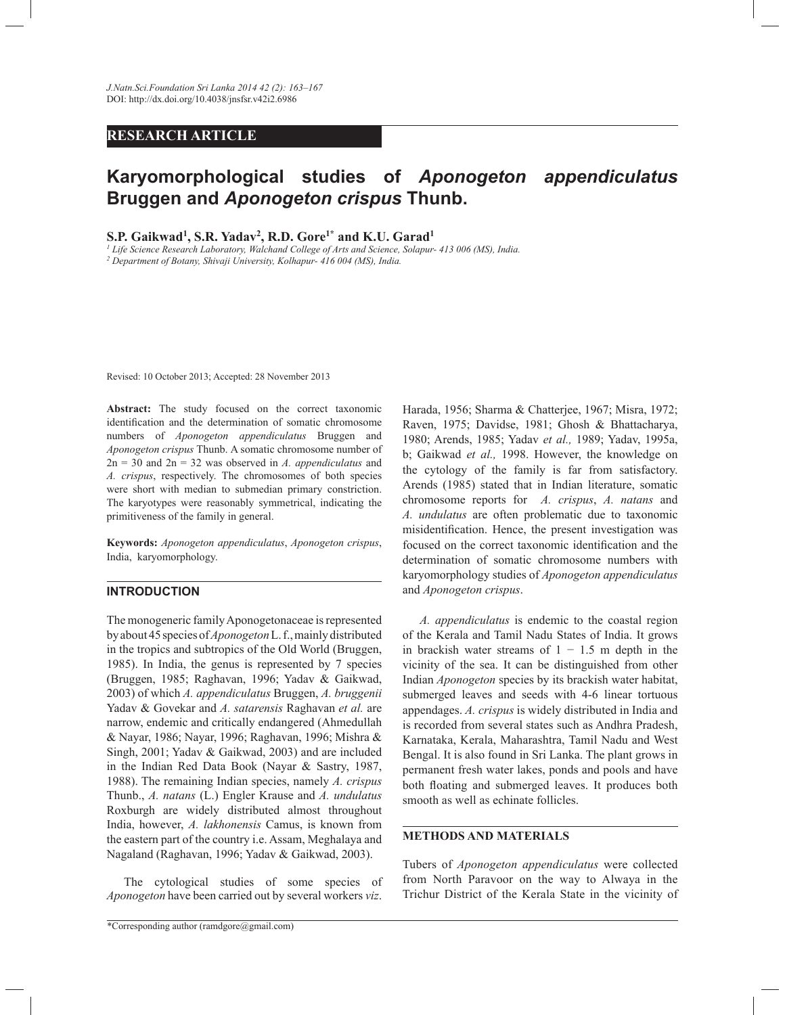# **RESEARCH ARTICLE**

# **Karyomorphological studies of** *Aponogeton appendiculatus* **Bruggen and** *Aponogeton crispus* **Thunb.**

**S.P. Gaikwad<sup>1</sup> , S.R. Yadav<sup>2</sup> , R.D. Gore1\* and K.U. Garad<sup>1</sup>**

*1 Life Science Research Laboratory, Walchand College of Arts and Science, Solapur- 413 006 (MS), India. 2 Department of Botany, Shivaji University, Kolhapur- 416 004 (MS), India.*

Revised: 10 October 2013; Accepted: 28 November 2013

**Abstract:** The study focused on the correct taxonomic identification and the determination of somatic chromosome numbers of *Aponogeton appendiculatus* Bruggen and *Aponogeton crispus* Thunb. A somatic chromosome number of 2n = 30 and 2n = 32 was observed in *A. appendiculatus* and *A. crispus*, respectively. The chromosomes of both species were short with median to submedian primary constriction. The karyotypes were reasonably symmetrical, indicating the primitiveness of the family in general.

**Keywords:** *Aponogeton appendiculatus*, *Aponogeton crispus*, India, karyomorphology.

#### **INTRODUCTION**

The monogeneric family Aponogetonaceae is represented by about 45 species of *Aponogeton* L. f., mainly distributed in the tropics and subtropics of the Old World (Bruggen, 1985). In India, the genus is represented by 7 species (Bruggen, 1985; Raghavan, 1996; Yadav & Gaikwad, 2003) of which *A. appendiculatus* Bruggen, *A. bruggenii* Yadav & Govekar and *A. satarensis* Raghavan *et al.* are narrow, endemic and critically endangered (Ahmedullah & Nayar, 1986; Nayar, 1996; Raghavan, 1996; Mishra & Singh, 2001; Yadav & Gaikwad, 2003) and are included in the Indian Red Data Book (Nayar & Sastry, 1987, 1988). The remaining Indian species, namely *A. crispus* Thunb., *A. natans* (L.) Engler Krause and *A. undulatus*  Roxburgh are widely distributed almost throughout India, however, *A. lakhonensis* Camus, is known from the eastern part of the country i.e. Assam, Meghalaya and Nagaland (Raghavan, 1996; Yadav & Gaikwad, 2003).

 The cytological studies of some species of *Aponogeton* have been carried out by several workers *viz*.

Harada, 1956; Sharma & Chatterjee, 1967; Misra, 1972; Raven, 1975; Davidse, 1981; Ghosh & Bhattacharya, 1980; Arends, 1985; Yadav *et al.,* 1989; Yadav, 1995a, b; Gaikwad *et al.,* 1998. However, the knowledge on the cytology of the family is far from satisfactory. Arends (1985) stated that in Indian literature, somatic chromosome reports for *A. crispus*, *A. natans* and *A. undulatus* are often problematic due to taxonomic misidentification. Hence, the present investigation was focused on the correct taxonomic identification and the determination of somatic chromosome numbers with karyomorphology studies of *Aponogeton appendiculatus* and *Aponogeton crispus*.

 *A. appendiculatus* is endemic to the coastal region of the Kerala and Tamil Nadu States of India. It grows in brackish water streams of  $1 - 1.5$  m depth in the vicinity of the sea. It can be distinguished from other Indian *Aponogeton* species by its brackish water habitat, submerged leaves and seeds with 4-6 linear tortuous appendages. *A. crispus* is widely distributed in India and is recorded from several states such as Andhra Pradesh, Karnataka, Kerala, Maharashtra, Tamil Nadu and West Bengal. It is also found in Sri Lanka. The plant grows in permanent fresh water lakes, ponds and pools and have both floating and submerged leaves. It produces both smooth as well as echinate follicles.

#### **METHODS AND MATERIALS**

Tubers of *Aponogeton appendiculatus* were collected from North Paravoor on the way to Alwaya in the Trichur District of the Kerala State in the vicinity of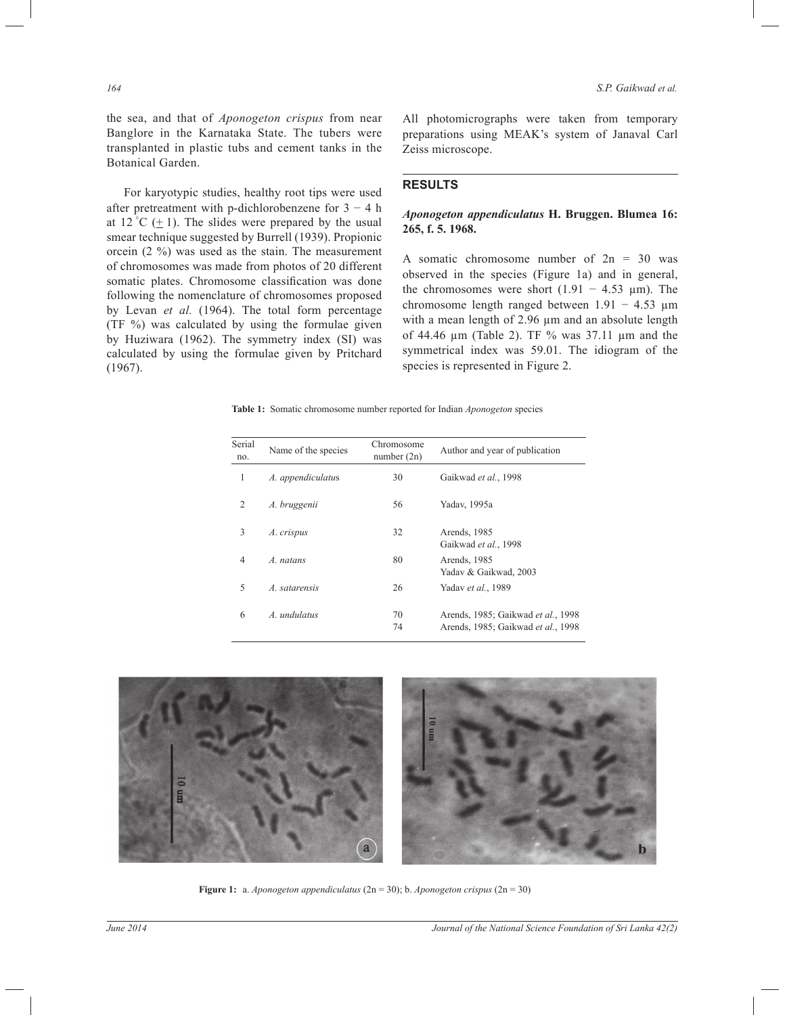the sea, and that of *Aponogeton crispus* from near Banglore in the Karnataka State. The tubers were transplanted in plastic tubs and cement tanks in the Botanical Garden.

 For karyotypic studies, healthy root tips were used after pretreatment with p-dichlorobenzene for  $3 - 4$  h at 12 °C  $(\pm 1)$ . The slides were prepared by the usual smear technique suggested by Burrell (1939). Propionic orcein (2 %) was used as the stain. The measurement of chromosomes was made from photos of 20 different somatic plates. Chromosome classification was done following the nomenclature of chromosomes proposed by Levan *et al.* (1964). The total form percentage (TF %) was calculated by using the formulae given by Huziwara (1962). The symmetry index (SI) was calculated by using the formulae given by Pritchard (1967).

All photomicrographs were taken from temporary preparations using MEAK's system of Janaval Carl Zeiss microscope.

# **RESULTS**

# *Aponogeton appendiculatus* **H. Bruggen. Blumea 16: 265, f. 5. 1968.**

A somatic chromosome number of  $2n = 30$  was observed in the species (Figure 1a) and in general, the chromosomes were short  $(1.91 - 4.53 \mu m)$ . The chromosome length ranged between 1.91 − 4.53 µm with a mean length of 2.96  $\mu$ m and an absolute length of 44.46 µm (Table 2). TF % was 37.11 µm and the symmetrical index was 59.01. The idiogram of the species is represented in Figure 2.

**Table 1:** Somatic chromosome number reported for Indian *Aponogeton* species

| Serial<br>no.  | Name of the species | Chromosome<br>number $(2n)$ | Author and year of publication                                           |
|----------------|---------------------|-----------------------------|--------------------------------------------------------------------------|
| 1              | A. appendiculatus   | 30                          | Gaikwad et al., 1998                                                     |
| 2              | A. bruggenii        | 56                          | Yadav, 1995a                                                             |
| 3              | A. crispus          | 32                          | Arends, 1985<br>Gaikwad et al., 1998                                     |
| $\overline{4}$ | A. natans           | 80                          | Arends, 1985<br>Yadav & Gaikwad, 2003                                    |
| 5              | A. satarensis       | 26                          | Yadav et al., 1989                                                       |
| 6              | A. undulatus        | 70<br>74                    | Arends, 1985; Gaikwad et al., 1998<br>Arends, 1985; Gaikwad et al., 1998 |



**Figure 1:** a. *Aponogeton appendiculatus* (2n = 30); b. *Aponogeton crispus* (2n = 30)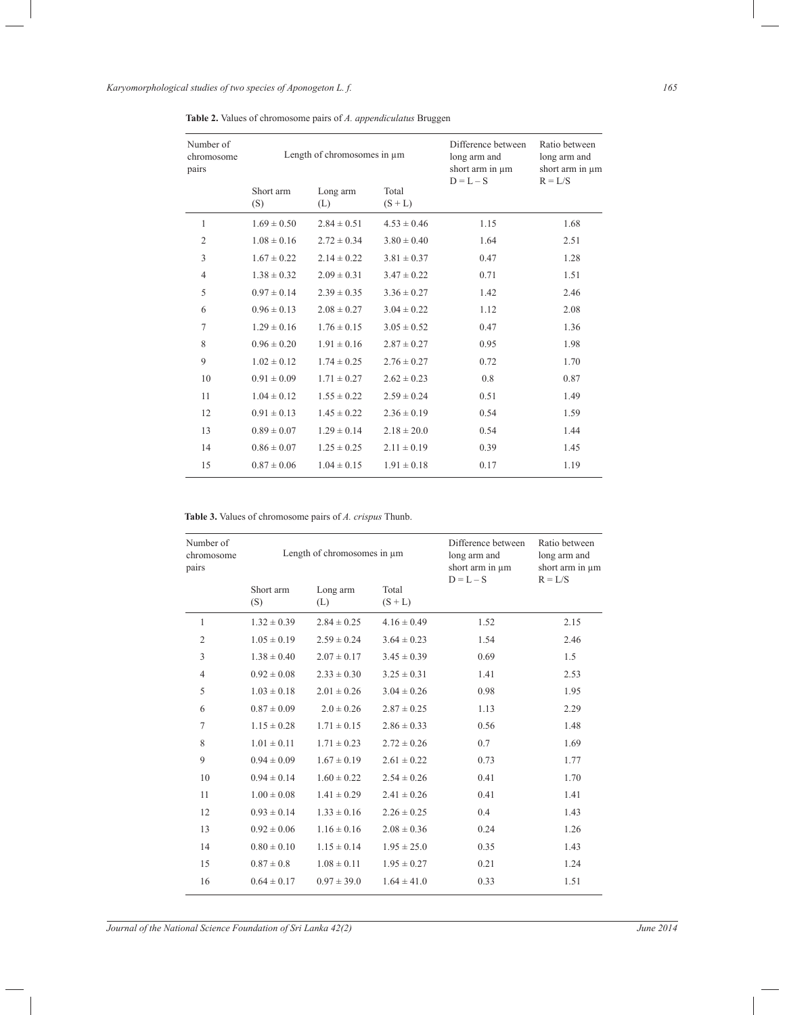*Karyomorphological studies of two species of Aponogeton L. f. 165*

| Number of<br>chromosome<br>pairs | Length of chromosomes in $\mu$ m |                 |                  | Difference between<br>long arm and<br>short arm in $\mu$ m<br>$D = L - S$ | Ratio between<br>long arm and<br>short arm in $\mu$ m<br>$R = L/S$ |
|----------------------------------|----------------------------------|-----------------|------------------|---------------------------------------------------------------------------|--------------------------------------------------------------------|
|                                  | Short arm<br>(S)                 | Long arm<br>(L) | Total<br>$(S+L)$ |                                                                           |                                                                    |
| 1                                | $1.69 \pm 0.50$                  | $2.84 \pm 0.51$ | $4.53 \pm 0.46$  | 1.15                                                                      | 1.68                                                               |
| $\overline{2}$                   | $1.08 \pm 0.16$                  | $2.72 \pm 0.34$ | $3.80 \pm 0.40$  | 1.64                                                                      | 2.51                                                               |
| 3                                | $1.67 \pm 0.22$                  | $2.14 \pm 0.22$ | $3.81 \pm 0.37$  | 0.47                                                                      | 1.28                                                               |
| 4                                | $1.38 \pm 0.32$                  | $2.09 \pm 0.31$ | $3.47 \pm 0.22$  | 0.71                                                                      | 1.51                                                               |
| 5                                | $0.97 \pm 0.14$                  | $2.39 \pm 0.35$ | $3.36 \pm 0.27$  | 1.42                                                                      | 2.46                                                               |
| 6                                | $0.96 \pm 0.13$                  | $2.08 \pm 0.27$ | $3.04 \pm 0.22$  | 1.12                                                                      | 2.08                                                               |
| 7                                | $1.29 \pm 0.16$                  | $1.76 \pm 0.15$ | $3.05 \pm 0.52$  | 0.47                                                                      | 1.36                                                               |
| 8                                | $0.96 \pm 0.20$                  | $1.91 \pm 0.16$ | $2.87 \pm 0.27$  | 0.95                                                                      | 1.98                                                               |
| 9                                | $1.02 \pm 0.12$                  | $1.74 \pm 0.25$ | $2.76 \pm 0.27$  | 0.72                                                                      | 1.70                                                               |
| 10                               | $0.91 \pm 0.09$                  | $1.71 \pm 0.27$ | $2.62 \pm 0.23$  | 0.8                                                                       | 0.87                                                               |
| 11                               | $1.04 \pm 0.12$                  | $1.55 \pm 0.22$ | $2.59 \pm 0.24$  | 0.51                                                                      | 1.49                                                               |
| 12                               | $0.91 \pm 0.13$                  | $1.45 \pm 0.22$ | $2.36 \pm 0.19$  | 0.54                                                                      | 1.59                                                               |
| 13                               | $0.89 \pm 0.07$                  | $1.29 \pm 0.14$ | $2.18 \pm 20.0$  | 0.54                                                                      | 1.44                                                               |
| 14                               | $0.86 \pm 0.07$                  | $1.25 \pm 0.25$ | $2.11 \pm 0.19$  | 0.39                                                                      | 1.45                                                               |
| 15                               | $0.87 \pm 0.06$                  | $1.04 \pm 0.15$ | $1.91 \pm 0.18$  | 0.17                                                                      | 1.19                                                               |

**Table 2.** Values of chromosome pairs of *A. appendiculatus* Bruggen

**Table 3.** Values of chromosome pairs of *A. crispus* Thunb.

| Number of<br>chromosome<br>pairs | Length of chromosomes in $\mu$ m |                 |                    | Difference between<br>long arm and<br>short arm in um<br>$D = L - S$ | Ratio between<br>long arm and<br>short arm in $\mu$ m<br>$R = L/S$ |
|----------------------------------|----------------------------------|-----------------|--------------------|----------------------------------------------------------------------|--------------------------------------------------------------------|
|                                  | Short arm<br>(S)                 | Long arm<br>(L) | Total<br>$(S + L)$ |                                                                      |                                                                    |
| 1                                | $1.32 \pm 0.39$                  | $2.84 \pm 0.25$ | $4.16 \pm 0.49$    | 1.52                                                                 | 2.15                                                               |
| $\overline{2}$                   | $1.05 \pm 0.19$                  | $2.59 \pm 0.24$ | $3.64 \pm 0.23$    | 1.54                                                                 | 2.46                                                               |
| 3                                | $1.38 \pm 0.40$                  | $2.07 \pm 0.17$ | $3.45 \pm 0.39$    | 0.69                                                                 | 1.5                                                                |
| 4                                | $0.92 \pm 0.08$                  | $2.33 \pm 0.30$ | $3.25 \pm 0.31$    | 1.41                                                                 | 2.53                                                               |
| 5                                | $1.03 \pm 0.18$                  | $2.01 \pm 0.26$ | $3.04 \pm 0.26$    | 0.98                                                                 | 1.95                                                               |
| 6                                | $0.87 \pm 0.09$                  | $2.0 \pm 0.26$  | $2.87 \pm 0.25$    | 1.13                                                                 | 2.29                                                               |
| $\tau$                           | $1.15 \pm 0.28$                  | $1.71 \pm 0.15$ | $2.86 \pm 0.33$    | 0.56                                                                 | 1.48                                                               |
| 8                                | $1.01 \pm 0.11$                  | $1.71 \pm 0.23$ | $2.72 \pm 0.26$    | 0.7                                                                  | 1.69                                                               |
| 9                                | $0.94 \pm 0.09$                  | $1.67 \pm 0.19$ | $2.61 \pm 0.22$    | 0.73                                                                 | 1.77                                                               |
| 10                               | $0.94 \pm 0.14$                  | $1.60 \pm 0.22$ | $2.54 \pm 0.26$    | 0.41                                                                 | 1.70                                                               |
| 11                               | $1.00 \pm 0.08$                  | $1.41 \pm 0.29$ | $2.41 \pm 0.26$    | 0.41                                                                 | 1.41                                                               |
| 12                               | $0.93 \pm 0.14$                  | $1.33 \pm 0.16$ | $2.26 \pm 0.25$    | 0.4                                                                  | 1.43                                                               |
| 13                               | $0.92 \pm 0.06$                  | $1.16 \pm 0.16$ | $2.08 \pm 0.36$    | 0.24                                                                 | 1.26                                                               |
| 14                               | $0.80 \pm 0.10$                  | $1.15 \pm 0.14$ | $1.95 \pm 25.0$    | 0.35                                                                 | 1.43                                                               |
| 15                               | $0.87 \pm 0.8$                   | $1.08 \pm 0.11$ | $1.95 \pm 0.27$    | 0.21                                                                 | 1.24                                                               |
| 16                               | $0.64 \pm 0.17$                  | $0.97 \pm 39.0$ | $1.64 \pm 41.0$    | 0.33                                                                 | 1.51                                                               |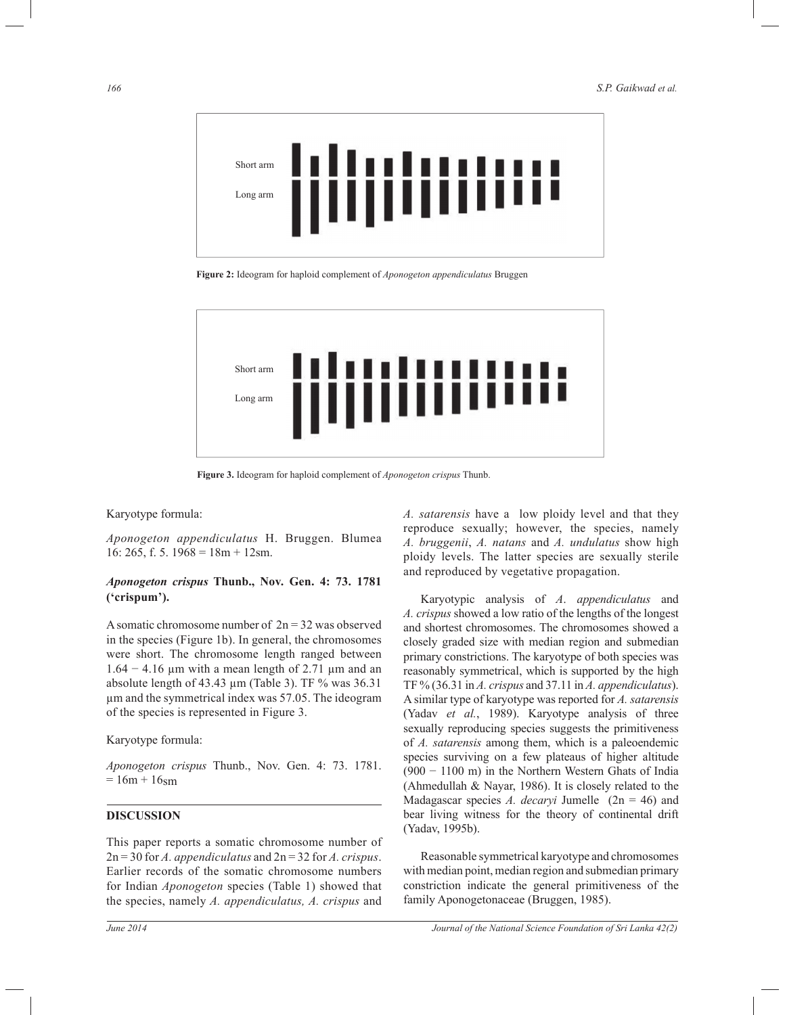

**Figure 2:** Ideogram for haploid complement of *Aponogeton appendiculatus* Bruggen



**Figure 3.** Ideogram for haploid complement of *Aponogeton crispus* Thunb.

#### Karyotype formula:

*Aponogeton appendiculatus* H. Bruggen. Blumea 16: 265, f. 5.  $1968 = 18m + 12sm$ .

# *Aponogeton crispus* **Thunb., Nov. Gen. 4: 73. 1781 ('crispum').**

A somatic chromosome number of  $2n = 32$  was observed in the species (Figure 1b). In general, the chromosomes were short. The chromosome length ranged between 1.64 − 4.16 µm with a mean length of 2.71 µm and an absolute length of 43.43 µm (Table 3). TF % was 36.31 µm and the symmetrical index was 57.05. The ideogram of the species is represented in Figure 3.

Karyotype formula:

*Aponogeton crispus* Thunb., Nov. Gen. 4: 73. 1781.  $= 16m + 16$ sm

#### **DISCUSSION**

This paper reports a somatic chromosome number of 2n = 30 for *A. appendiculatus* and 2n = 32 for *A. crispus*. Earlier records of the somatic chromosome numbers for Indian *Aponogeton* species (Table 1) showed that the species, namely *A. appendiculatus, A. crispus* and

*A. satarensis* have a low ploidy level and that they reproduce sexually; however, the species, namely *A. bruggenii*, *A. natans* and *A. undulatus* show high ploidy levels. The latter species are sexually sterile and reproduced by vegetative propagation.

Karyotypic analysis of *A*. *appendiculatus* and *A. crispus* showed a low ratio of the lengths of the longest and shortest chromosomes. The chromosomes showed a closely graded size with median region and submedian primary constrictions. The karyotype of both species was reasonably symmetrical, which is supported by the high TF % (36.31 in *A. crispus* and 37.11 in *A. appendiculatus*). A similar type of karyotype was reported for *A. satarensis*  (Yadav *et al.*, 1989). Karyotype analysis of three sexually reproducing species suggests the primitiveness of *A. satarensis* among them, which is a paleoendemic species surviving on a few plateaus of higher altitude (900 − 1100 m) in the Northern Western Ghats of India (Ahmedullah & Nayar, 1986). It is closely related to the Madagascar species *A. decaryi* Jumelle (2n = 46) and bear living witness for the theory of continental drift (Yadav, 1995b).

 Reasonable symmetrical karyotype and chromosomes with median point, median region and submedian primary constriction indicate the general primitiveness of the family Aponogetonaceae (Bruggen, 1985).